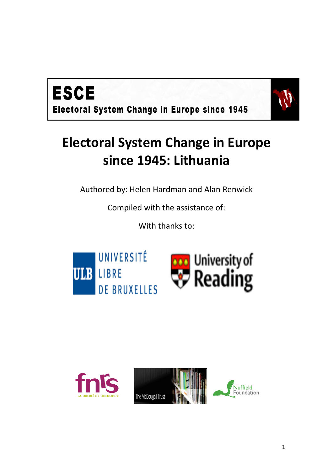



# **Electoral System Change in Europe since 1945: Lithuania**

Authored by: Helen Hardman and Alan Renwick

Compiled with the assistance of:

With thanks to:



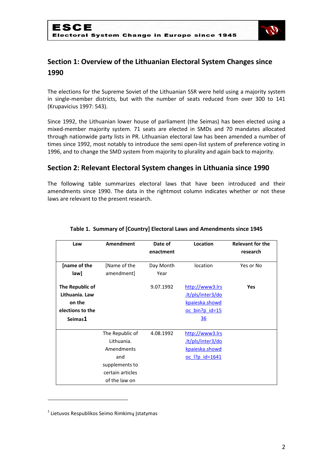

# **Section 1: Overview of the Lithuanian Electoral System Changes since 1990**

The elections for the Supreme Soviet of the Lithuanian SSR were held using a majority system in single-member districts, but with the number of seats reduced from over 300 to 141 (Krupavicius 1997: 543).

Since 1992, the Lithuanian lower house of parliament (the Seimas) has been elected using a mixed-member majority system. 71 seats are elected in SMDs and 70 mandates allocated through nationwide party lists in PR. Lithuanian electoral law has been amended a number of times since 1992, most notably to introduce the semi open-list system of preference voting in 1996, and to change the SMD system from majority to plurality and again back to majority.

## **Section 2: Relevant Electoral System changes in Lithuania since 1990**

The following table summarizes electoral laws that have been introduced and their amendments since 1990. The data in the rightmost column indicates whether or not these laws are relevant to the present research.

| Law              | Amendment        | Date of   | Location              | <b>Relevant for the</b> |
|------------------|------------------|-----------|-----------------------|-------------------------|
|                  |                  | enactment |                       | research                |
| [name of the     | [Name of the     | Day Month | location              | Yes or No               |
| law]             | amendment]       | Year      |                       |                         |
| The Republic of  |                  | 9.07.1992 | http://www3.lrs       | Yes                     |
| Lithuania. Law   |                  |           | .lt/pls/inter3/do     |                         |
| on the           |                  |           | kpaieska.showd        |                         |
| elections to the |                  |           | oc bin?p id=15        |                         |
| Seimas1          |                  |           | 36                    |                         |
|                  |                  |           |                       |                         |
|                  | The Republic of  | 4.08.1992 | http://www3.lrs       |                         |
|                  | Lithuania.       |           | .lt/pls/inter3/do     |                         |
|                  | Amendments       |           | kpaieska.showd        |                         |
|                  | and              |           | <u>oc I?p id=1641</u> |                         |
|                  | supplements to   |           |                       |                         |
|                  | certain articles |           |                       |                         |
|                  | of the law on    |           |                       |                         |

#### **Table 1. Summary of [Country] Electoral Laws and Amendments since 1945**

<sup>&</sup>lt;sup>1</sup> Lietuvos Respublikos Seimo Rimkimų Įstatymas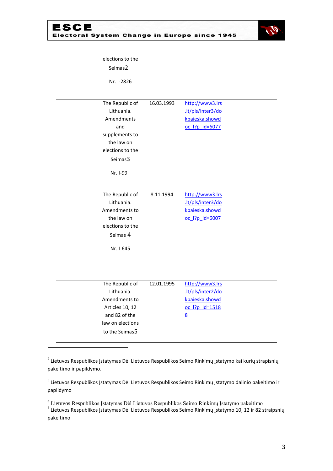



| elections to the<br>Seimas2<br>Nr. I-2826                                                                                     |            |                                                                               |  |
|-------------------------------------------------------------------------------------------------------------------------------|------------|-------------------------------------------------------------------------------|--|
| The Republic of<br>Lithuania.<br>Amendments<br>and<br>supplements to<br>the law on<br>elections to the<br>Seimas3<br>Nr. I-99 | 16.03.1993 | http://www3.lrs<br>.lt/pls/inter3/do<br>kpaieska.showd<br>oc l?p id=6077      |  |
| The Republic of<br>Lithuania.<br>Amendments to<br>the law on<br>elections to the<br>Seimas 4<br>Nr. I-645                     | 8.11.1994  | http://www3.lrs<br>.lt/pls/inter3/do<br>kpaieska.showd<br>oc l?p id=6007      |  |
| The Republic of<br>Lithuania.<br>Amendments to<br>Articles 10, 12<br>and 82 of the<br>law on elections<br>to the Seimas5      | 12.01.1995 | http://www3.lrs<br>.lt/pls/inter2/do<br>kpaieska.showd<br>oc l?p id=1518<br>8 |  |

<sup>2</sup> Lietuvos Respublikos Įstatymas Dėl Lietuvos Respublikos Seimo Rinkimų Įstatymo kai kurių strapisnių pakeitimo ir papildymo.

<sup>3</sup> Lietuvos Respublikos Įstatymas Dėl Lietuvos Respublikos Seimo Rinkimų Įstatymo dalinio pakeitimo ir papildymo

<sup>4</sup> Lietuvos Respublikos Įstatymas Dėl Lietuvos Respublikos Seimo Rinkimų Įstatymo pakeitimo

.

<sup>5</sup> Lietuvos Respublikos Įstatymas Dėl Lietuvos Respublikos Seimo Rinkimų Įstatymo 10, 12 ir 82 straipsnių pakeitimo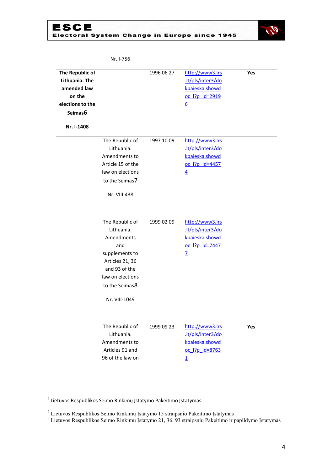# ESCE<br>Electoral System Change in Europe since 1945



|                                                                                                         | Nr. I-756                                                                                                                                                       |            |                                                                                            |     |
|---------------------------------------------------------------------------------------------------------|-----------------------------------------------------------------------------------------------------------------------------------------------------------------|------------|--------------------------------------------------------------------------------------------|-----|
| The Republic of<br>Lithuania. The<br>amended law<br>on the<br>elections to the<br>Seimas6<br>Nr. I-1408 |                                                                                                                                                                 | 1996 06 27 | http://www3.lrs<br>.lt/pls/inter3/do<br>kpaieska.showd<br>oc l?p id=2919<br>6              | Yes |
|                                                                                                         | The Republic of<br>Lithuania.<br>Amendments to<br>Article 15 of the<br>law on elections<br>to the Seimas7<br>Nr. VIII-438                                       | 1997 10 09 | http://www3.lrs<br>.lt/pls/inter3/do<br>kpaieska.showd<br>oc l?p id=4457<br>$\overline{4}$ |     |
|                                                                                                         | The Republic of<br>Lithuania.<br>Amendments<br>and<br>supplements to<br>Articles 21, 36<br>and 93 of the<br>law on elections<br>to the Seimas8<br>Nr. VIII-1049 | 1999 02 09 | http://www3.lrs<br>.lt/pls/inter3/do<br>kpaieska.showd<br>oc l?p id=7447<br>$\overline{L}$ |     |
|                                                                                                         | The Republic of<br>Lithuania.<br>Amendments to<br>Articles 91 and<br>96 of the law on                                                                           | 1999 09 23 | http://www3.lrs<br>.lt/pls/inter3/do<br>kpaieska.showd<br>oc l?p id=8763<br>$\overline{1}$ | Yes |

1

<sup>6</sup> Lietuvos Respublikos Seimo Rinkimų Įstatymo Pakeitimo Įstatymas

<sup>&</sup>lt;sup>7</sup> Lietuvos Respublikos Seimo Rinkimų Įstatymo 15 straipsnio Pakeitimo Įstatymas

<sup>&</sup>lt;sup>8</sup> Lietuvos Respublikos Seimo Rinkimų Įstatymo 21, 36, 93 straipsnių Pakeitimo ir papildymo Įstatymas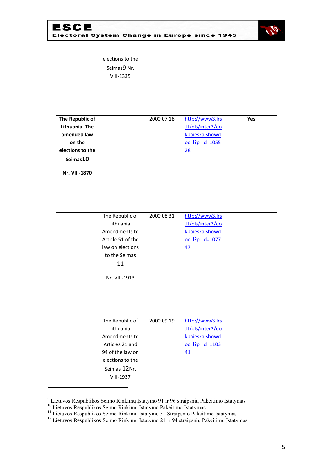# ESCE<br>Electoral System Change in Europe since 1945



|                                                                                                             | elections to the<br>Seimas9 Nr.<br><b>VIII-1335</b>                                                                                           |            |                                                                                |     |
|-------------------------------------------------------------------------------------------------------------|-----------------------------------------------------------------------------------------------------------------------------------------------|------------|--------------------------------------------------------------------------------|-----|
| The Republic of<br>Lithuania. The<br>amended law<br>on the<br>elections to the<br>Seimas10<br>Nr. VIII-1870 |                                                                                                                                               | 2000 07 18 | http://www3.lrs<br>.lt/pls/inter3/do<br>kpaieska.showd<br>oc l?p id=1055<br>28 | Yes |
|                                                                                                             | The Republic of<br>Lithuania.<br>Amendments to<br>Article 51 of the<br>law on elections<br>to the Seimas<br>11<br>Nr. VIII-1913               | 2000 08 31 | http://www3.lrs<br>.lt/pls/inter3/do<br>kpaieska.showd<br>oc  ?p id=1077<br>47 |     |
|                                                                                                             | The Republic of<br>Lithuania.<br>Amendments to<br>Articles 21 and<br>94 of the law on<br>elections to the<br>Seimas 12Nr.<br><b>VIII-1937</b> | 2000 09 19 | http://www3.lrs<br>.lt/pls/inter2/do<br>kpaieska.showd<br>oc l?p id=1103<br>41 |     |

<sup>9</sup> Lietuvos Respublikos Seimo Rinkimų Įstatymo 91 ir 96 straipsnių Pakeitimo Įstatymas

<sup>&</sup>lt;sup>10</sup> Lietuvos Respublikos Seimo Rinkimų Įstatymo Pakeitimo Įstatymas

<sup>&</sup>lt;sup>11</sup> Lietuvos Respublikos Seimo Rinkimų Įstatymo 51 Straipsnio Pakeitimo Įstatymas

<sup>&</sup>lt;sup>12</sup> Lietuvos Respublikos Seimo Rinkimų Įstatymo 21 ir 94 straipsnių Pakeitimo Įstatymas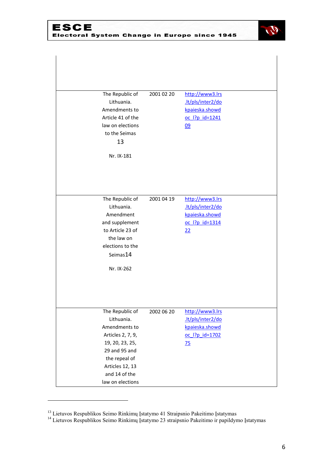

| The Republic of<br>Lithuania.<br>Amendments to<br>Article 41 of the<br>law on elections<br>to the Seimas<br>13<br>Nr. IX-181                                                     | 2001 02 20 | http://www3.lrs<br>.lt/pls/inter2/do<br>kpaieska.showd<br>oc l?p id=1241<br>09             |  |
|----------------------------------------------------------------------------------------------------------------------------------------------------------------------------------|------------|--------------------------------------------------------------------------------------------|--|
| The Republic of<br>Lithuania.<br>Amendment<br>and supplement<br>to Article 23 of<br>the law on<br>elections to the<br>Seimas14<br>Nr. IX-262                                     | 2001 04 19 | http://www3.lrs<br>.lt/pls/inter2/do<br>kpaieska.showd<br>oc l?p id=1314<br>22             |  |
| The Republic of<br>Lithuania.<br>Amendments to<br>Articles 2, 7, 9,<br>19, 20, 23, 25,<br>29 and 95 and<br>the repeal of<br>Articles 12, 13<br>and 14 of the<br>law on elections | 2002 06 20 | http://www3.lrs<br>.lt/pls/inter2/do<br>kpaieska.showd<br>oc l?p id=1702<br>$\frac{75}{2}$ |  |

 $\overline{\phantom{a}}$ 

<sup>&</sup>lt;sup>13</sup> Lietuvos Respublikos Seimo Rinkimų Įstatymo 41 Straipsnio Pakeitimo Įstatymas

<sup>&</sup>lt;sup>14</sup> Lietuvos Respublikos Seimo Rinkimų Įstatymo 23 straipsnio Pakeitimo ir papildymo Įstatymas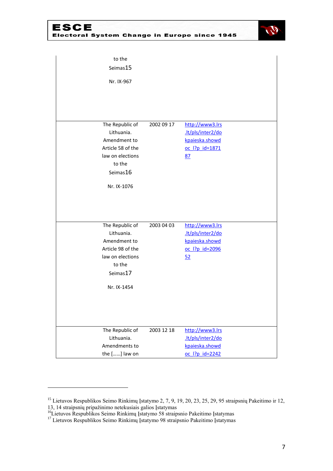ESCE<br>Electoral System Change in Europe since 1945



| to the            |            |                   |  |
|-------------------|------------|-------------------|--|
| Seimas15          |            |                   |  |
| Nr. IX-967        |            |                   |  |
|                   |            |                   |  |
|                   |            |                   |  |
| The Republic of   | 2002 09 17 | http://www3.lrs   |  |
| Lithuania.        |            | .lt/pls/inter2/do |  |
| Amendment to      |            | kpaieska.showd    |  |
| Article 58 of the |            | oc  ?p id=1871    |  |
| law on elections  |            | 87                |  |
| to the            |            |                   |  |
| Seimas16          |            |                   |  |
| Nr. IX-1076       |            |                   |  |
|                   |            |                   |  |
|                   |            |                   |  |
|                   |            |                   |  |
| The Republic of   | 2003 04 03 | http://www3.lrs   |  |
| Lithuania.        |            | .lt/pls/inter2/do |  |
| Amendment to      |            | kpaieska.showd    |  |
| Article 98 of the |            | oc 1?p id=2096    |  |
| law on elections  |            | 52                |  |
| to the            |            |                   |  |
| Seimas17          |            |                   |  |
| Nr. IX-1454       |            |                   |  |
|                   |            |                   |  |
|                   |            |                   |  |
|                   |            |                   |  |
| The Republic of   | 2003 12 18 | http://www3.lrs   |  |
| Lithuania.        |            | .lt/pls/inter2/do |  |
| Amendments to     |            | kpaieska.showd    |  |
| the [] law on     |            | oc l?p id=2242    |  |

<sup>&</sup>lt;sup>15</sup> Lietuvos Respublikos Seimo Rinkimų Įstatymo 2, 7, 9, 19, 20, 23, 25, 29, 95 straipsnių Pakeitimo ir 12, 13, 14 straipsnių pripažinimo netekusiais galios Įstatymas

<sup>&</sup>lt;sup>16</sup>Lietuvos Respublikos Seimo Rinkimų Įstatymo 58 straipsnio Pakeitimo Įstatymas

<sup>&</sup>lt;sup>17</sup> Lietuvos Respublikos Seimo Rinkimų Įstatymo 98 straipsnio Pakeitimo Įstatymas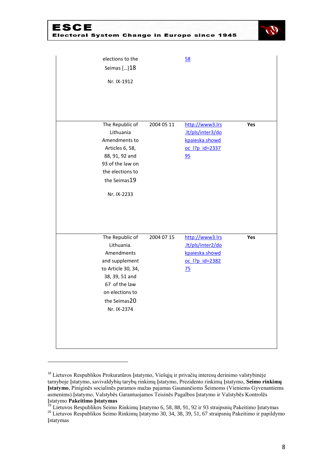#### ESCE Electoral System Change in Europe since 1945



| elections to the<br>Seimas []18<br>Nr. IX-1912                                                                                                                           |            | 58                                                                                          |     |
|--------------------------------------------------------------------------------------------------------------------------------------------------------------------------|------------|---------------------------------------------------------------------------------------------|-----|
| The Republic of<br>Lithuania<br>Amendments to<br>Articles 6, 58,<br>88, 91, 92 and<br>93 of the law on<br>the elections to<br>the Seimas19<br>Nr. IX-2233                | 2004 05 11 | http://www3.lrs<br>.lt/pls/inter3/do<br>kpaieska.showd<br>oc  ?p id=2337<br>95              | Yes |
| The Republic of<br>Lithuania.<br>Amendments<br>and supplement<br>to Article 30, 34,<br>38, 39, 51 and<br>67 of the law<br>on elections to<br>the Seimas20<br>Nr. IX-2374 | 2004 07 15 | http://www3.lrs<br>.lt/pls/inter2/do<br>kpaieska.showd<br>oc l?p id=2382<br>$\overline{25}$ | Yes |

<sup>&</sup>lt;sup>18</sup> Lietuvos Respublikos Prokuratūros Įstatymo, Viešųjų ir privačių interesų derinimo valstybinėje tarnyboje Įstatymo, savivaldybių tarybų rinkimų Įstatymo, Prezidento rinkimų Įstatymo, **Seimo rinkimų Įstatymo**, Piniginĕs socialinĕs paramos mažas pajamas Gaunančioms Šeimoms (Vieniems Gyvenantiems asmenims) Įstatymo, Valstybĕs Garantuojamos Teisinĕs Pagalbos Įstatymo ir Valstybĕs Kontrolĕs Įstatymo **Pakeitimo Įstatymas** 

1

<sup>&</sup>lt;sup>19</sup> Lietuvos Respublikos Seimo Rinkimų Įstatymo 6, 58, 88, 91, 92 ir 93 straipsnių Pakeitimo Įstatymas <sup>20</sup> Lietuvos Respublikos Seimo Rinkimų Įstatymo 30, 34, 38, 39, 51, 67 straipsnių Pakeitimo ir papildymo Įstatymas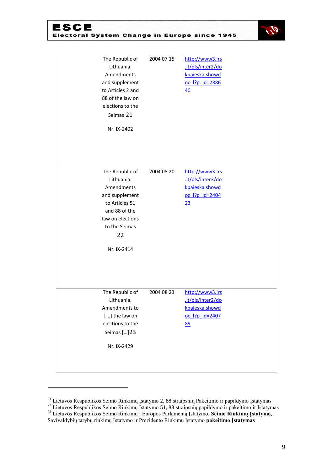| ESCE |                 |            | <b>Electoral System Change in Europe since 1945</b> |  |
|------|-----------------|------------|-----------------------------------------------------|--|
|      | The Republic of | 2004 07 15 | http://www3.lrs                                     |  |



| The Republic of<br>Lithuania.<br>Amendments<br>and supplement<br>to Articles 2 and<br>88 of the law on<br>elections to the<br>Seimas 21<br>Nr. IX-2402     | 2004 07 15 | http://www3.lrs<br>.lt/pls/inter2/do<br>kpaieska.showd<br>oc l?p id=2386<br>40 |  |
|------------------------------------------------------------------------------------------------------------------------------------------------------------|------------|--------------------------------------------------------------------------------|--|
| The Republic of<br>Lithuania.<br>Amendments<br>and supplement<br>to Articles 51<br>and 88 of the<br>law on elections<br>to the Seimas<br>22<br>Nr. IX-2414 | 2004 08 20 | http://www3.lrs<br>.lt/pls/inter3/do<br>kpaieska.showd<br>oc l?p id=2404<br>23 |  |
| The Republic of<br>Lithuania.<br>Amendments to<br>[] the law on<br>elections to the<br>Seimas [] 23<br>Nr. IX-2429                                         | 2004 08 23 | http://www3.lrs<br>.lt/pls/inter2/do<br>kpaieska.showd<br>oc l?p id=2407<br>89 |  |

<sup>&</sup>lt;sup>21</sup> Lietuvos Respublikos Seimo Rinkimų Įstatymo 2, 88 straipsnių Pakeitimo ir papildymo Įstatymas

<sup>&</sup>lt;sup>22</sup> Lietuvos Respublikos Seimo Rinkimų Įstatymo 51, 88 straipsnių papildymo ir pakeitimo ir Įstatymas

<sup>23</sup> Lietuvos Respublikos Seimo Rinkimų į Europos Parlamentą Įstatymo, **Seimo Rinkimų Įstatymo**, Savivaldybių tarybų rinkimų Įstatymo ir Prezidento Rinkimų Įstatymo **pakeitimo Įstatymas**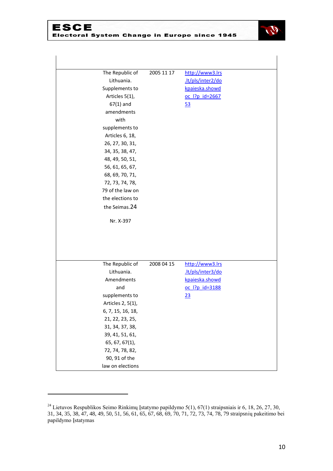### **ESCE** Electoral System Change in Europe since 1945



| The Republic of   | 2005 11 17 | http://www3.lrs   |  |
|-------------------|------------|-------------------|--|
| Lithuania.        |            | .lt/pls/inter2/do |  |
| Supplements to    |            | kpaieska.showd    |  |
| Articles 5(1),    |            | oc l?p id=2667    |  |
| $67(1)$ and       |            | <u>53</u>         |  |
| amendments        |            |                   |  |
| with              |            |                   |  |
| supplements to    |            |                   |  |
| Articles 6, 18,   |            |                   |  |
| 26, 27, 30, 31,   |            |                   |  |
| 34, 35, 38, 47,   |            |                   |  |
| 48, 49, 50, 51,   |            |                   |  |
| 56, 61, 65, 67,   |            |                   |  |
| 68, 69, 70, 71,   |            |                   |  |
| 72, 73, 74, 78,   |            |                   |  |
| 79 of the law on  |            |                   |  |
| the elections to  |            |                   |  |
| the Seimas.24     |            |                   |  |
| Nr. X-397         |            |                   |  |
|                   |            |                   |  |
|                   |            |                   |  |
| The Republic of   | 2008 04 15 | http://www3.lrs   |  |
| Lithuania.        |            | .lt/pls/inter3/do |  |
| Amendments        |            | kpaieska.showd    |  |
|                   |            |                   |  |
| and               |            | oc  ?p id=3188    |  |
| supplements to    |            | 23                |  |
| Articles 2, 5(1), |            |                   |  |
| 6, 7, 15, 16, 18, |            |                   |  |
| 21, 22, 23, 25,   |            |                   |  |
| 31, 34, 37, 38,   |            |                   |  |
| 39, 41, 51, 61,   |            |                   |  |
| 65, 67, 67(1),    |            |                   |  |
| 72, 74, 78, 82,   |            |                   |  |
| 90, 91 of the     |            |                   |  |

 $^{24}$  Lietuvos Respublikos Seimo Rinkimų Įstatymo papildymo 5(1), 67(1) straipsniais ir 6, 18, 26, 27, 30, 31, 34, 35, 38, 47, 48, 49, 50, 51, 56, 61, 65, 67, 68, 69, 70, 71, 72, 73, 74, 78, 79 straipsnių pakeitimo bei papildymo Įstatymas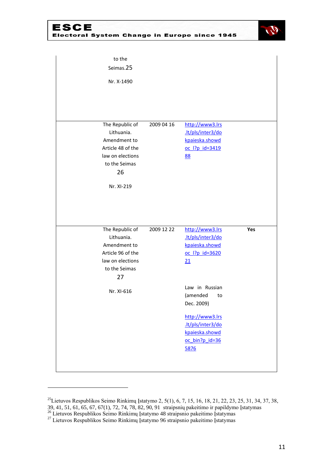**ESCE** Electoral System Change in Europe since 1945



| to the<br>Seimas.25<br>Nr. X-1490                                                                                           |            |                                                                                                                                                                                                                      |     |
|-----------------------------------------------------------------------------------------------------------------------------|------------|----------------------------------------------------------------------------------------------------------------------------------------------------------------------------------------------------------------------|-----|
| The Republic of<br>Lithuania.<br>Amendment to<br>Article 48 of the<br>law on elections<br>to the Seimas<br>26<br>Nr. XI-219 | 2009 04 16 | http://www3.lrs<br>.lt/pls/inter3/do<br>kpaieska.showd<br>oc l?p id=3419<br>88                                                                                                                                       |     |
| The Republic of<br>Lithuania.<br>Amendment to<br>Article 96 of the<br>law on elections<br>to the Seimas<br>27<br>Nr. XI-616 | 2009 12 22 | http://www3.lrs<br>.lt/pls/inter3/do<br>kpaieska.showd<br>oc l?p id=3620<br>21<br>Law in Russian<br>(amended<br>to<br>Dec. 2009)<br>http://www3.lrs<br>.lt/pls/inter3/do<br>kpaieska.showd<br>oc bin?p id=36<br>5876 | Yes |

<sup>&</sup>lt;sup>25</sup>Lietuvos Respublikos Seimo Rinkimų Įstatymo 2, 5(1), 6, 7, 15, 16, 18, 21, 22, 23, 25, 31, 34, 37, 38, 39, 41, 51, 61, 65, 67, 67(1), 72, 74, 78, 82, 90, 91straipsnių pakeitimo ir papildymo Įstatymas

<sup>&</sup>lt;sup>26</sup> Lietuvos Respublikos Seimo Rinkimų Įstatymo 48 straipsnio pakeitimo Įstatymas

<sup>&</sup>lt;sup>27</sup> Lietuvos Respublikos Seimo Rinkimų Įstatymo 96 straipsnio pakeitimo Įstatymas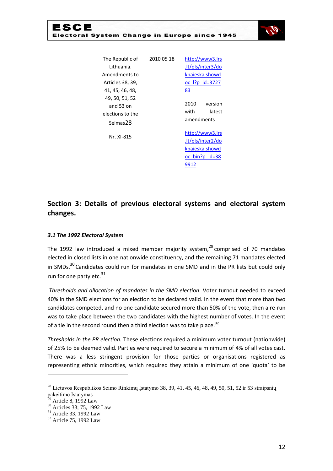| ESCE<br><b>Electoral System Change in Europe since 1945</b>                                                                                          |            |                                                                                                                                   |
|------------------------------------------------------------------------------------------------------------------------------------------------------|------------|-----------------------------------------------------------------------------------------------------------------------------------|
| The Republic of<br>Lithuania.<br>Amendments to<br>Articles 38, 39,<br>41, 45, 46, 48,<br>49, 50, 51, 52<br>and 53 on<br>elections to the<br>Seimas28 | 2010 05 18 | http://www3.lrs<br>.lt/pls/inter3/do<br>kpaieska.showd<br>oc l?p id=3727<br>83<br>2010<br>version<br>with<br>latest<br>amendments |
| Nr. XI-815                                                                                                                                           |            | http://www3.lrs<br>.lt/pls/inter2/do<br>kpaieska.showd<br>oc_bin?p_id=38<br>9912                                                  |

# **Section 3: Details of previous electoral systems and electoral system changes.**

#### *3.1 The 1992 Electoral System*

The 1992 law introduced a mixed member majority system,  $29^{\circ}$  comprised of 70 mandates elected in closed lists in one nationwide constituency, and the remaining 71 mandates elected in SMDs. $30$  Candidates could run for mandates in one SMD and in the PR lists but could only run for one party etc.<sup>31</sup>

*Thresholds and allocation of mandates in the SMD election.* Voter turnout needed to exceed 40% in the SMD elections for an election to be declared valid. In the event that more than two candidates competed, and no one candidate secured more than 50% of the vote, then a re-run was to take place between the two candidates with the highest number of votes. In the event of a tie in the second round then a third election was to take place. $32$ 

*Thresholds in the PR election.* These elections required a minimum voter turnout (nationwide) of 25% to be deemed valid. Parties were required to secure a minimum of 4% of all votes cast. There was a less stringent provision for those parties or organisations registered as representing ethnic minorities, which required they attain a minimum of one 'quota' to be

<sup>&</sup>lt;sup>28</sup> Lietuvos Respublikos Seimo Rinkimų Įstatymo 38, 39, 41, 45, 46, 48, 49, 50, 51, 52 ir 53 straipsnių pakeitimo Įstatymas

Article 8, 1992 Law

 $30$  Articles 33; 75, 1992 Law

 $31$  Article 33, 1992 Law

<sup>&</sup>lt;sup>32</sup> Article 75, 1992 Law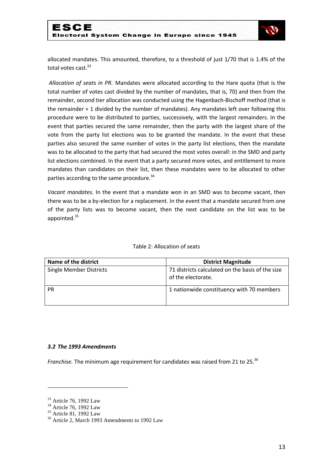

allocated mandates. This amounted, therefore, to a threshold of just 1/70 that is 1.4% of the total votes cast.<sup>33</sup>

*Allocation of seats in PR.* Mandates were allocated according to the Hare quota (that is the total number of votes cast divided by the number of mandates, that is, 70) and then from the remainder, second tier allocation was conducted using the Hagenbach-Bischoff method (that is the remainder + 1 divided by the number of mandates). Any mandates left over following this procedure were to be distributed to parties, successively, with the largest remainders. In the event that parties secured the same remainder, then the party with the largest share of the vote from the party list elections was to be granted the mandate. In the event that these parties also secured the same number of votes in the party list elections, then the mandate was to be allocated to the party that had secured the most votes overall: in the SMD and party list elections combined. In the event that a party secured more votes, and entitlement to more mandates than candidates on their list, then these mandates were to be allocated to other parties according to the same procedure.<sup>34</sup>

*Vacant mandates.* In the event that a mandate won in an SMD was to become vacant, then there was to be a by-election for a replacement. In the event that a mandate secured from one of the party lists was to become vacant, then the next candidate on the list was to be appointed.<sup>35</sup>

| Name of the district           | <b>District Magnitude</b>                                              |
|--------------------------------|------------------------------------------------------------------------|
| <b>Single Member Districts</b> | 71 districts calculated on the basis of the size<br>of the electorate. |
| PR                             | 1 nationwide constituency with 70 members                              |

#### Table 2: Allocation of seats

#### *3.2 The 1993 Amendments*

*Franchise.* The minimum age requirement for candidates was raised from 21 to 25.<sup>36</sup>

<sup>&</sup>lt;sup>33</sup> Article 76, 1992 Law

<sup>&</sup>lt;sup>34</sup> Article 76, 1992 Law

<sup>35</sup> Article 81, 1992 Law

<sup>36</sup> Article 2, March 1993 Amendments to 1992 Law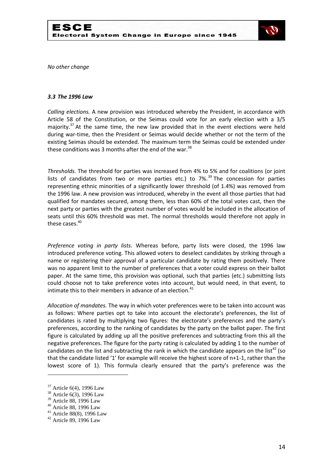

*No other change*

#### *3.3 The 1996 Law*

*Calling elections.* A new provision was introduced whereby the President, in accordance with Article 58 of the Constitution, or the Seimas could vote for an early election with a 3/5 majority. $37$  At the same time, the new law provided that in the event elections were held during war-time, then the President or Seimas would decide whether or not the term of the existing Seimas should be extended. The maximum term the Seimas could be extended under these conditions was 3 months after the end of the war.<sup>38</sup>

*Thresholds.* The threshold for parties was increased from 4% to 5% and for coalitions (or joint lists of candidates from two or more parties etc.) to  $7\%$ <sup>39</sup> The concession for parties representing ethnic minorities of a significantly lower threshold (of 1.4%) was removed from the 1996 law. A new provision was introduced, whereby in the event all those parties that had qualified for mandates secured, among them, less than 60% of the total votes cast, then the next party or parties with the greatest number of votes would be included in the allocation of seats until this 60% threshold was met. The normal thresholds would therefore not apply in these cases.<sup>40</sup>

*Preference voting in party lists.* Whereas before, party lists were closed, the 1996 law introduced preference voting. This allowed voters to deselect candidates by striking through a name or registering their approval of a particular candidate by rating them positively. There was no apparent limit to the number of preferences that a voter could express on their ballot paper. At the same time, this provision was optional, such that parties (etc.) submitting lists could choose not to take preference votes into account, but would need, in that event, to intimate this to their members in advance of an election.<sup>41</sup>

*Allocation of mandates.* The way in which voter preferences were to be taken into account was as follows: Where parties opt to take into account the electorate's preferences, the list of candidates is rated by multiplying two figures: the electorate's preferences and the party's preferences, according to the ranking of candidates by the party on the ballot paper. The first figure is calculated by adding up all the positive preferences and subtracting from this all the negative preferences. The figure for the party rating is calculated by adding 1 to the number of candidates on the list and subtracting the rank in which the candidate appears on the list<sup>42</sup> (so that the candidate listed '1' for example will receive the highest score of n+1-1, rather than the lowest score of 1). This formula clearly ensured that the party's preference was the

<sup>&</sup>lt;sup>37</sup> Article 6(4), 1996 Law

<sup>38</sup> Article 6(3), 1996 Law

<sup>39</sup> Article 88, 1996 Law

<sup>40</sup> Article 88, 1996 Law

<sup>41</sup> Article 88(8), 1996 Law

<sup>42</sup> Article 89, 1996 Law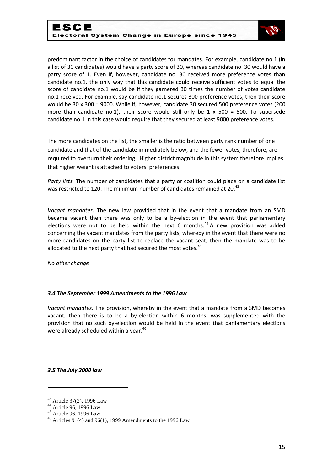

predominant factor in the choice of candidates for mandates. For example, candidate no.1 (in a list of 30 candidates) would have a party score of 30, whereas candidate no. 30 would have a party score of 1. Even if, however, candidate no. 30 received more preference votes than candidate no.1, the only way that this candidate could receive sufficient votes to equal the score of candidate no.1 would be if they garnered 30 times the number of votes candidate no.1 received. For example, say candidate no.1 secures 300 preference votes, then their score would be 30 x 300 = 9000. While if, however, candidate 30 secured 500 preference votes (200 more than candidate no.1), their score would still only be  $1 \times 500 = 500$ . To supersede candidate no.1 in this case would require that they secured at least 9000 preference votes.

The more candidates on the list, the smaller is the ratio between party rank number of one candidate and that of the candidate immediately below, and the fewer votes, therefore, are required to overturn their ordering. Higher district magnitude in this system therefore implies that higher weight is attached to voters' preferences.

*Party lists.* The number of candidates that a party or coalition could place on a candidate list was restricted to 120. The minimum number of candidates remained at 20.<sup>43</sup>

*Vacant mandates.* The new law provided that in the event that a mandate from an SMD became vacant then there was only to be a by-election in the event that parliamentary elections were not to be held within the next 6 months.<sup>44</sup> A new provision was added concerning the vacant mandates from the party lists, whereby in the event that there were no more candidates on the party list to replace the vacant seat, then the mandate was to be allocated to the next party that had secured the most votes. $45$ 

*No other change*

#### *3.4 The September 1999 Amendments to the 1996 Law*

*Vacant mandates.* The provision, whereby in the event that a mandate from a SMD becomes vacant, then there is to be a by-election within 6 months, was supplemented with the provision that no such by-election would be held in the event that parliamentary elections were already scheduled within a year.<sup>46</sup>

*3.5 The July 2000 law*

<sup>43</sup> Article 37(2), 1996 Law

<sup>44</sup> Article 96, 1996 Law

<sup>45</sup> Article 96, 1996 Law

 $46$  Articles 91(4) and 96(1), 1999 Amendments to the 1996 Law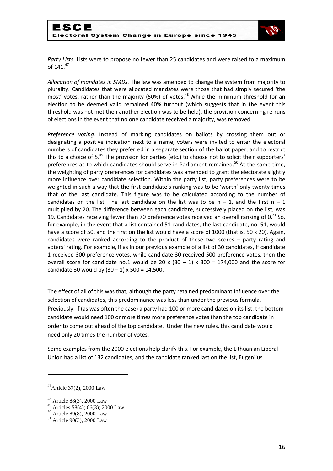

*Party Lists.* Lists were to propose no fewer than 25 candidates and were raised to a maximum of 141.47

*Allocation of mandates in SMDs.* The law was amended to change the system from majority to plurality. Candidates that were allocated mandates were those that had simply secured 'the most' votes, rather than the majority (50%) of votes.<sup>48</sup> While the minimum threshold for an election to be deemed valid remained 40% turnout (which suggests that in the event this threshold was not met then another election was to be held), the provision concerning re-runs of elections in the event that no one candidate received a majority, was removed.

*Preference voting.* Instead of marking candidates on ballots by crossing them out or designating a positive indication next to a name, voters were invited to enter the electoral numbers of candidates they preferred in a separate section of the ballot paper, and to restrict this to a choice of 5.<sup>49</sup> The provision for parties (etc.) to choose not to solicit their supporters' preferences as to which candidates should serve in Parliament remained.<sup>50</sup> At the same time, the weighting of party preferences for candidates was amended to grant the electorate slightly more influence over candidate selection. Within the party list, party preferences were to be weighted in such a way that the first candidate's ranking was to be 'worth' only twenty times that of the last candidate. This figure was to be calculated according to the number of candidates on the list. The last candidate on the list was to be  $n - 1$ , and the first  $n - 1$ multiplied by 20. The difference between each candidate, successively placed on the list, was 19. Candidates receiving fewer than 70 preference votes received an overall ranking of  $0.51$  So, for example, in the event that a list contained 51 candidates, the last candidate, no. 51, would have a score of 50, and the first on the list would have a score of 1000 (that is, 50 x 20). Again, candidates were ranked according to the product of these two scores – party rating and voters' rating. For example, if as in our previous example of a list of 30 candidates, if candidate 1 received 300 preference votes, while candidate 30 received 500 preference votes, then the overall score for candidate no.1 would be 20 x  $(30 - 1)$  x 300 = 174,000 and the score for candidate 30 would by  $(30 - 1)$  x 500 = 14,500.

The effect of all of this was that, although the party retained predominant influence over the selection of candidates, this predominance was less than under the previous formula. Previously, if (as was often the case) a party had 100 or more candidates on its list, the bottom candidate would need 100 or more times more preference votes than the top candidate in order to come out ahead of the top candidate. Under the new rules, this candidate would need only 20 times the number of votes.

Some examples from the 2000 elections help clarify this. For example, the Lithuanian Liberal Union had a list of 132 candidates, and the candidate ranked last on the list, Eugenijus

 $47$ Article 37(2), 2000 Law

<sup>48</sup> Article 88(3), 2000 Law

<sup>49</sup> Articles 58(4); 66(3); 2000 Law

<sup>50</sup> Article 89(8), 2000 Law

<sup>51</sup> Article 90(3), 2000 Law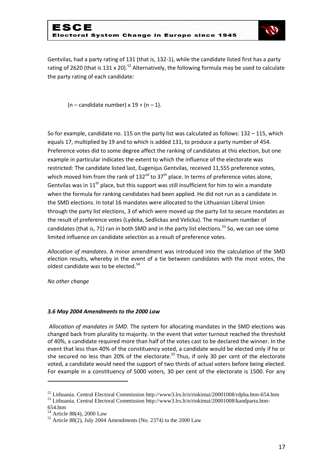

Gentvilas, had a party rating of 131 (that is, 132-1), while the candidate listed first has a party rating of 2620 (that is 131 x 20).<sup>52</sup> Alternatively, the following formula may be used to calculate the party rating of each candidate:

 $(n -$  candidate number) x 19 +  $(n - 1)$ .

So for example, candidate no. 115 on the party list was calculated as follows: 132 – 115, which equals 17, multiplied by 19 and to which is added 131, to produce a party number of 454. Preference votes did to some degree affect the ranking of candidates at this election, but one example in particular indicates the extent to which the influence of the electorate was restricted: The candidate listed last, Eugenijus Gentvilas, received 11,555 preference votes, which moved him from the rank of  $132^{nd}$  to  $37^{th}$  place. In terms of preference votes alone, Gentvilas was in  $11<sup>th</sup>$  place, but this support was still insufficient for him to win a mandate when the formula for ranking candidates had been applied. He did not run as a candidate in the SMD elections. In total 16 mandates were allocated to the Lithuanian Liberal Union through the party list elections, 3 of which were moved up the party list to secure mandates as the result of preference votes (Lydeka, Sedlickas and Velicka). The maximum number of candidates (that is, 71) ran in both SMD and in the party list elections.<sup>53</sup> So, we can see some limited influence on candidate selection as a result of preference votes.

*Allocation of mandates.* A minor amendment was introduced into the calculation of the SMD election results, whereby in the event of a tie between candidates with the most votes, the oldest candidate was to be elected.<sup>54</sup>

*No other change*

#### *3.6 May 2004 Amendments to the 2000 Law*

*Allocation of mandates in SMD.* The system for allocating mandates in the SMD elections was changed back from plurality to majority. In the event that voter turnout reached the threshold of 40%, a candidate required more than half of the votes cast to be declared the winner. In the event that less than 40% of the constituency voted, a candidate would be elected only if he or she secured no less than 20% of the electorate.<sup>55</sup> Thus, if only 30 per cent of the electorate voted, a candidate would need the support of two thirds of actual voters before being elected. For example in a constituency of 5000 voters, 30 per cent of the electorate is 1500. For any

1

<sup>52</sup> Lithuania. Central Electoral Commission<http://www3.lrs.lt/n/rinkimai/20001008/rdpba.htm-654.htm>

<sup>53</sup> Lithuania. Central Electoral Commission [http://www3.lrs.lt/n/rinkimai/20001008/kandparta.htm-](http://www3.lrs.lt/n/rinkimai/20001008/kandparta.htm-654.htm)[654.htm](http://www3.lrs.lt/n/rinkimai/20001008/kandparta.htm-654.htm)

<sup>54</sup> Article 88(4), 2000 Law

 $55$  Article 88(2), July 2004 Amendments (No. 2374) to the 2000 Law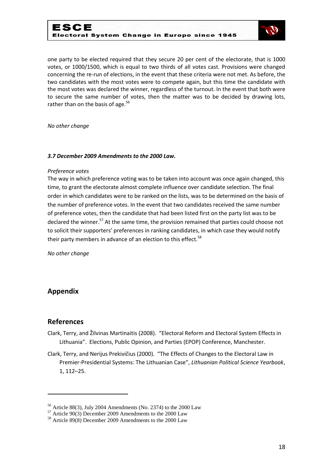

one party to be elected required that they secure 20 per cent of the electorate, that is 1000 votes, or 1000/1500, which is equal to two thirds of all votes cast. Provisions were changed concerning the re-run of elections, in the event that these criteria were not met. As before, the two candidates with the most votes were to compete again, but this time the candidate with the most votes was declared the winner, regardless of the turnout. In the event that both were to secure the same number of votes, then the matter was to be decided by drawing lots, rather than on the basis of age. $56$ 

*No other change*

#### *3.7 December 2009 Amendments to the 2000 Law.*

#### *Preference votes*

The way in which preference voting was to be taken into account was once again changed, this time, to grant the electorate almost complete influence over candidate selection. The final order in which candidates were to be ranked on the lists, was to be determined on the basis of the number of preference votes. In the event that two candidates received the same number of preference votes, then the candidate that had been listed first on the party list was to be declared the winner.<sup>57</sup> At the same time, the provision remained that parties could choose not to solicit their supporters' preferences in ranking candidates, in which case they would notify their party members in advance of an election to this effect.<sup>58</sup>

*No other change*

### **Appendix**

#### **References**

- Clark, Terry, and Žilvinas Martinaitis (2008). "Electoral Reform and Electoral System Effects in Lithuania". Elections, Public Opinion, and Parties (EPOP) Conference, Manchester.
- Clark, Terry, and Nerijus Prekivičius (2000). "The Effects of Changes to the Electoral Law in Premier-Presidential Systems: The Lithuanian Case", *Lithuanian Political Science Yearbook*, 1, 112–25.

 $56$  Article 88(3), July 2004 Amendments (No. 2374) to the 2000 Law

 $57$  Article 90(3) December 2009 Amendments to the 2000 Law

<sup>58</sup> Article 89(8) December 2009 Amendments to the 2000 Law